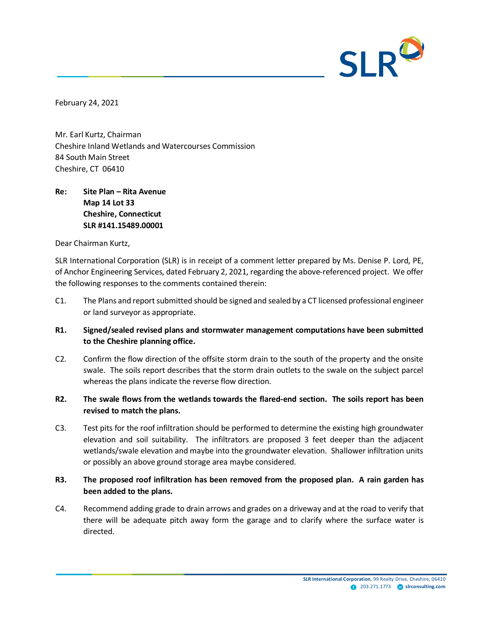

February 24, 2021

Mr. Earl Kurtz, Chairman Cheshire Inland Wetlands and Watercourses Commission 84 South Main Street Cheshire, CT 06410

# **Re: Site Plan – Rita Avenue Map 14 Lot 33 Cheshire, Connecticut SLR #141.15489.00001**

Dear Chairman Kurtz,

SLR International Corporation (SLR) is in receipt of a comment letter prepared by Ms. Denise P. Lord, PE, of Anchor Engineering Services, dated February 2, 2021, regarding the above-referenced project. We offer the following responses to the comments contained therein:

- C1. The Plans and report submitted should be signed and sealed by a CT licensed professional engineer or land surveyor as appropriate.
- **R1. Signed/sealed revised plans and stormwater management computations have been submitted to the Cheshire planning office.**
- C2. Confirm the flow direction of the offsite storm drain to the south of the property and the onsite swale. The soils report describes that the storm drain outlets to the swale on the subject parcel whereas the plans indicate the reverse flow direction.
- **R2. The swale flows from the wetlands towards the flared-end section. The soils report has been revised to match the plans.**
- C3. Test pits for the roof infiltration should be performed to determine the existing high groundwater elevation and soil suitability. The infiltrators are proposed 3 feet deeper than the adjacent wetlands/swale elevation and maybe into the groundwater elevation. Shallower infiltration units or possibly an above ground storage area maybe considered.

## **R3. The proposed roof infiltration has been removed from the proposed plan. A rain garden has been added to the plans.**

C4. Recommend adding grade to drain arrows and grades on a driveway and at the road to verify that there will be adequate pitch away form the garage and to clarify where the surface water is directed.